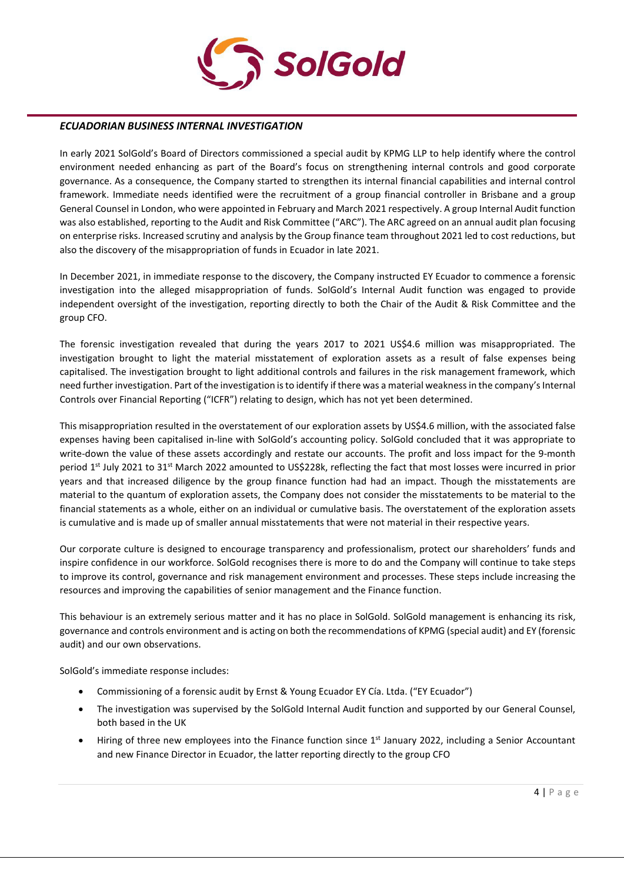

## *ECUADORIAN BUSINESS INTERNAL INVESTIGATION*

In early 2021 SolGold's Board of Directors commissioned a special audit by KPMG LLP to help identify where the control environment needed enhancing as part of the Board's focus on strengthening internal controls and good corporate governance. As a consequence, the Company started to strengthen its internal financial capabilities and internal control framework. Immediate needs identified were the recruitment of a group financial controller in Brisbane and a group General Counsel in London, who were appointed in February and March 2021 respectively. A group Internal Audit function was also established, reporting to the Audit and Risk Committee ("ARC"). The ARC agreed on an annual audit plan focusing on enterprise risks. Increased scrutiny and analysis by the Group finance team throughout 2021 led to cost reductions, but also the discovery of the misappropriation of funds in Ecuador in late 2021.

In December 2021, in immediate response to the discovery, the Company instructed EY Ecuador to commence a forensic investigation into the alleged misappropriation of funds. SolGold's Internal Audit function was engaged to provide independent oversight of the investigation, reporting directly to both the Chair of the Audit & Risk Committee and the group CFO.

The forensic investigation revealed that during the years 2017 to 2021 US\$4.6 million was misappropriated. The investigation brought to light the material misstatement of exploration assets as a result of false expenses being capitalised. The investigation brought to light additional controls and failures in the risk management framework, which need further investigation. Part of the investigation is to identify if there was a material weakness in the company's Internal Controls over Financial Reporting ("ICFR") relating to design, which has not yet been determined.

This misappropriation resulted in the overstatement of our exploration assets by US\$4.6 million, with the associated false expenses having been capitalised in-line with SolGold's accounting policy. SolGold concluded that it was appropriate to write-down the value of these assets accordingly and restate our accounts. The profit and loss impact for the 9-month period 1<sup>st</sup> July 2021 to 31<sup>st</sup> March 2022 amounted to US\$228k, reflecting the fact that most losses were incurred in prior years and that increased diligence by the group finance function had had an impact. Though the misstatements are material to the quantum of exploration assets, the Company does not consider the misstatements to be material to the financial statements as a whole, either on an individual or cumulative basis. The overstatement of the exploration assets is cumulative and is made up of smaller annual misstatements that were not material in their respective years.

Our corporate culture is designed to encourage transparency and professionalism, protect our shareholders' funds and inspire confidence in our workforce. SolGold recognises there is more to do and the Company will continue to take steps to improve its control, governance and risk management environment and processes. These steps include increasing the resources and improving the capabilities of senior management and the Finance function.

This behaviour is an extremely serious matter and it has no place in SolGold. SolGold management is enhancing its risk, governance and controls environment and is acting on both the recommendations of KPMG (special audit) and EY (forensic audit) and our own observations.

SolGold's immediate response includes:

- Commissioning of a forensic audit by Ernst & Young Ecuador EY Cía. Ltda. ("EY Ecuador")
- The investigation was supervised by the SolGold Internal Audit function and supported by our General Counsel, both based in the UK
- Hiring of three new employees into the Finance function since  $1<sup>st</sup>$  January 2022, including a Senior Accountant and new Finance Director in Ecuador, the latter reporting directly to the group CFO